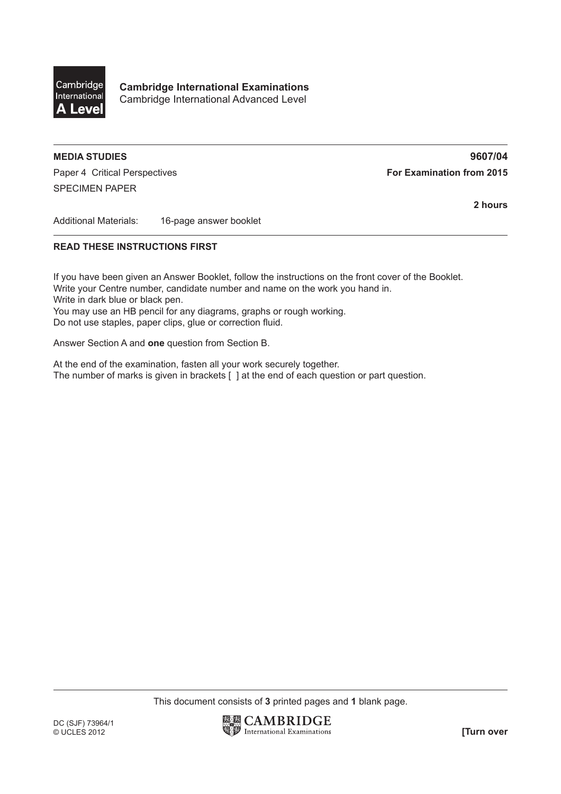

**Cambridge International Examinations** Cambridge International Advanced Level

## **MEDIA STUDIES 9607/04**

Paper 4 Critical Perspectives **For Examination from 2015** SPECIMEN PAPER

**2 hours**

Additional Materials: 16-page answer booklet

## **READ THESE INSTRUCTIONS FIRST**

If you have been given an Answer Booklet, follow the instructions on the front cover of the Booklet. Write your Centre number, candidate number and name on the work you hand in. Write in dark blue or black pen. You may use an HB pencil for any diagrams, graphs or rough working. Do not use staples, paper clips, glue or correction fluid.

Answer Section A and **one** question from Section B.

At the end of the examination, fasten all your work securely together. The number of marks is given in brackets [ ] at the end of each question or part question.

This document consists of **3** printed pages and **1** blank page.

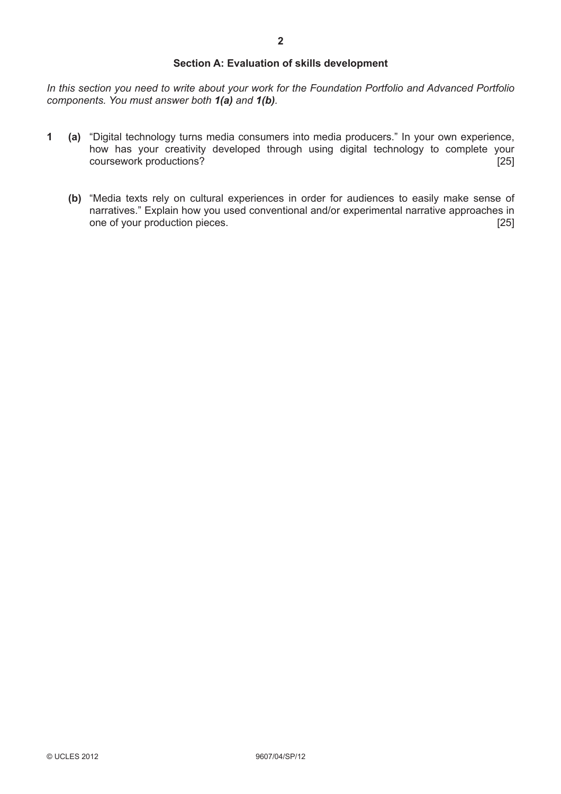## **Section A: Evaluation of skills development**

*In this section you need to write about your work for the Foundation Portfolio and Advanced Portfolio components. You must answer both 1(a) and 1(b).*

- **1 (a)** "Digital technology turns media consumers into media producers." In your own experience, how has your creativity developed through using digital technology to complete your coursework productions? [25]
	- **(b)** "Media texts rely on cultural experiences in order for audiences to easily make sense of narratives." Explain how you used conventional and/or experimental narrative approaches in one of your production pieces. [25]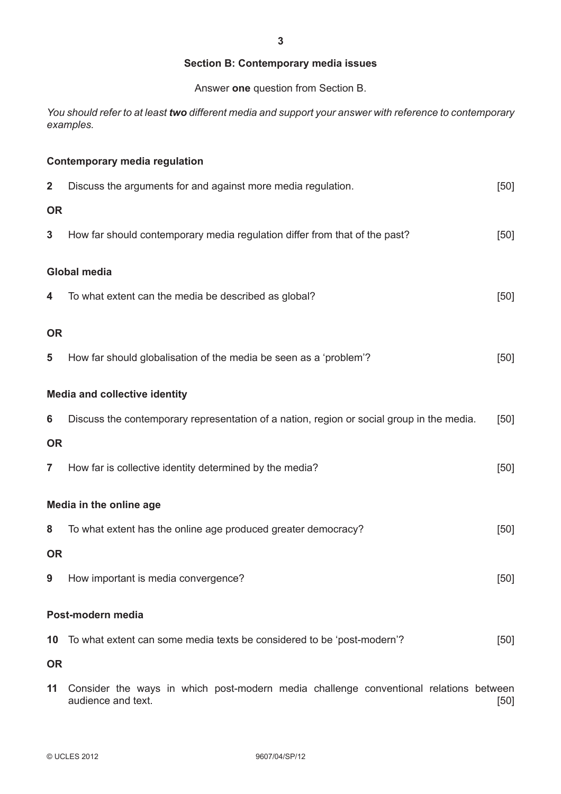## **Section B: Contemporary media issues**

Answer **one** question from Section B.

*You should refer to at least two different media and support your answer with reference to contemporary examples.*

|                         | <b>Contemporary media regulation</b>                                                                        |        |
|-------------------------|-------------------------------------------------------------------------------------------------------------|--------|
| $\overline{\mathbf{2}}$ | Discuss the arguments for and against more media regulation.                                                | [50]   |
| <b>OR</b>               |                                                                                                             |        |
| 3                       | How far should contemporary media regulation differ from that of the past?                                  | [50]   |
|                         | <b>Global media</b>                                                                                         |        |
| 4                       | To what extent can the media be described as global?                                                        | [50]   |
| <b>OR</b>               |                                                                                                             |        |
| 5                       | How far should globalisation of the media be seen as a 'problem'?                                           | [50]   |
|                         | <b>Media and collective identity</b>                                                                        |        |
| 6                       | Discuss the contemporary representation of a nation, region or social group in the media.                   | [50]   |
| <b>OR</b>               |                                                                                                             |        |
| $\overline{\mathbf{r}}$ | How far is collective identity determined by the media?                                                     | $[50]$ |
|                         | Media in the online age                                                                                     |        |
| 8                       | To what extent has the online age produced greater democracy?                                               | [50]   |
| <b>OR</b>               |                                                                                                             |        |
|                         | 9 How important is media convergence?                                                                       | $[50]$ |
|                         | Post-modern media                                                                                           |        |
| 10                      | To what extent can some media texts be considered to be 'post-modern'?                                      | [50]   |
| <b>OR</b>               |                                                                                                             |        |
| 11                      | Consider the ways in which post-modern media challenge conventional relations between<br>audience and text. | [50]   |